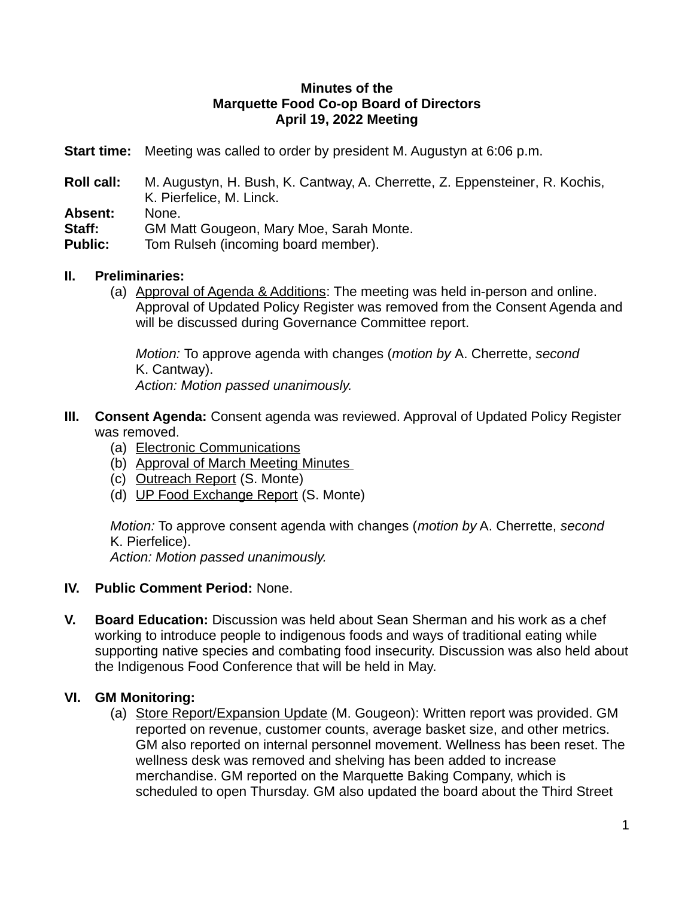### **Minutes of the Marquette Food Co-op Board of Directors April 19, 2022 Meeting**

- **Start time:** Meeting was called to order by president M. Augustyn at 6:06 p.m.
- **Roll call:** M. Augustyn, H. Bush, K. Cantway, A. Cherrette, Z. Eppensteiner, R. Kochis, K. Pierfelice, M. Linck.
- **Absent:** None.
- **Staff:** GM Matt Gougeon, Mary Moe, Sarah Monte.
- **Public:** Tom Rulseh (incoming board member).
- **II. Preliminaries:** 
	- (a) Approval of Agenda & Additions: The meeting was held in-person and online. Approval of Updated Policy Register was removed from the Consent Agenda and will be discussed during Governance Committee report.

*Motion:* To approve agenda with changes (*motion by* A. Cherrette, *second* K. Cantway). *Action: Motion passed unanimously.*

- **III. Consent Agenda:** Consent agenda was reviewed. Approval of Updated Policy Register was removed.
	- (a) Electronic Communications
	- (b) Approval of March Meeting Minutes
	- (c) Outreach Report (S. Monte)
	- (d) UP Food Exchange Report (S. Monte)

*Motion:* To approve consent agenda with changes (*motion by* A. Cherrette, *second* K. Pierfelice).

*Action: Motion passed unanimously.*

- **IV. Public Comment Period:** None.
- **V. Board Education:** Discussion was held about Sean Sherman and his work as a chef working to introduce people to indigenous foods and ways of traditional eating while supporting native species and combating food insecurity. Discussion was also held about the Indigenous Food Conference that will be held in May.

## **VI. GM Monitoring:**

(a) Store Report/ Expansion Update (M. Gougeon): Written report was provided. GM reported on revenue, customer counts, average basket size, and other metrics. GM also reported on internal personnel movement. Wellness has been reset. The wellness desk was removed and shelving has been added to increase merchandise. GM reported on the Marquette Baking Company, which is scheduled to open Thursday. GM also updated the board about the Third Street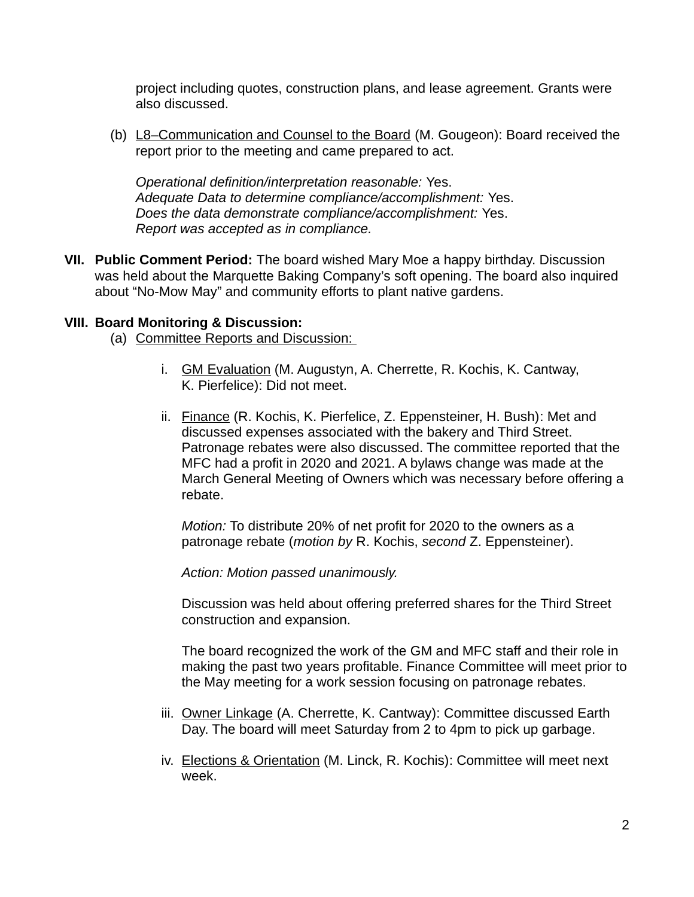project including quotes, construction plans, and lease agreement. Grants were also discussed.

(b) L8-Communication and Counsel to the Board (M. Gougeon): Board received the report prior to the meeting and came prepared to act.

*Operational definition/interpretation reasonable:* Yes. *Adequate Data to determine compliance/accomplishment:* Yes. *Does the data demonstrate compliance/accomplishment:* Yes. *Report was accepted as in compliance.*

**VII. Public Comment Period:** The board wished Mary Moe a happy birthday. Discussion was held about the Marquette Baking Company's soft opening. The board also inquired about "No-Mow May" and community efforts to plant native gardens.

## **VIII. Board Monitoring & Discussion:**

(a) Committee Reports and Discussion:

- i. GM Evaluation (M. Augustyn, A. Cherrette, R. Kochis, K. Cantway, K. Pierfelice): Did not meet.
- ii. Finance (R. Kochis, K. Pierfelice, Z. Eppensteiner, H. Bush): Met and discussed expenses associated with the bakery and Third Street. Patronage rebates were also discussed. The committee reported that the MFC had a profit in 2020 and 2021. A bylaws change was made at the March General Meeting of Owners which was necessary before offering a rebate.

*Motion:* To distribute 20% of net profit for 2020 to the owners as a patronage rebate (*motion by* R. Kochis, *second* Z. Eppensteiner).

*Action: Motion passed unanimously.*

Discussion was held about offering preferred shares for the Third Street construction and expansion.

The board recognized the work of the GM and MFC staff and their role in making the past two years profitable. Finance Committee will meet prior to the May meeting for a work session focusing on patronage rebates.

- iii. Owner Linkage (A. Cherrette, K. Cantway): Committee discussed Earth Day. The board will meet Saturday from 2 to 4pm to pick up garbage.
- iv. Elections & Orientation (M. Linck, R. Kochis): Committee will meet next week.